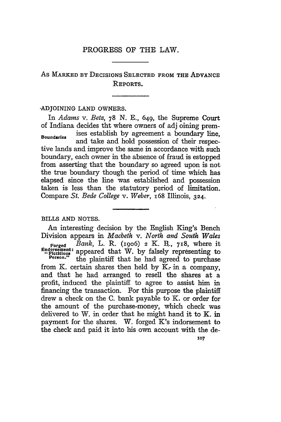## PROGRESS OF THE LAW.

# As **MARKED BY DECISIONS SELECTED** FROM **THE ADVANCE REPORTS.**

## -ADJOINING **LAND** OWNERS.

In *Adams v. Betz, 78* N. E., 649, the Supreme Court of Indiana decides tht where owners of **adj** oining prem-**Boundaries** ises establish by agreement a boundary line, and take and hold possession of their respective lands and improve the same in accordance with such boundary, each owner in the absence of fraud is estopped from asserting that the boundary so agreed upon is not the true boundary though the period of time which has elapsed since the line was established and possession taken is less than the statutory period of limitation. Compare *St. Bede College v. Weber,* 168 Illinois, 324.

## BILLS **AND NOTES.**

An interesting decision by the English King's Bench Division appears in *Macbeth v. North and South Wales* Forged *Bank,* L. R. (19o6) **2** K. B.., 718, where it

ndorsement: appeared that W. by falsely representing to<br>"Person." the plaintiff that he had agreed to purchase from K. certain shares then held by  $K<sub>r</sub>$  in a company, and that he had arranged to resell the shares at a profit, induced the plaintiff to agree to assist him in financing the transaction. For this purpose the plaintiff drew a check on the C. bank payable to K. or order for the amount of the purchase-money, which check was delivered to W. in order that he might hand it to K. in payment for the shares. W. forged K's indorsement to the check and paid it into his own account with the de-

**107**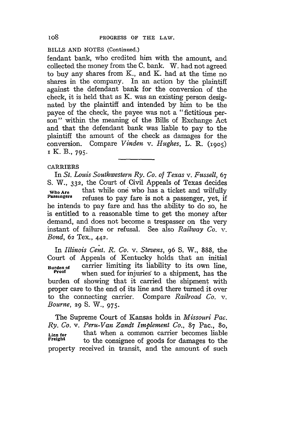## BILLS AND NOTES (Continued.)

fendant bank, who credited him with the amount, and collected the money from the C. bank. W. had not agreed to buy any shares from K., and K. had at the time no shares in the company. In an action by the plaintiff against the defendant bank for the conversion of the check, it is held that as K. was an existing person designated by the plaintiff and intended by him to be the payee of the check, the payee was not a "fictitious person" within the meaning of the Bills of Exchange Act and that the defendant bank was liable to pay to the plaintiff the amount of the check as damages for the conversion. Compare Vinden v. *Hughes,* L. R. **(1905)** i K. B., **795.**

## CARRIERS

In *St. Louis Southwestern Ry. Co. of Texas v. Fussell, 67* S. W., 332, the Court of Civil Appeals of Texas decides Who **Are** that while one who has a ticket and wilfully Passengers refuses to pay fare is not a passenger, yet, if he intends to pay fare and has the ability to do so, he is entitled to a reasonable time to get the money after demand, and does not become a trespasser on the very instant of failure or refusal. See also *Railway Co. v. Bond,* 62 Tex., 442.

In *Illinois Cent. R. Co. v. Stevens,* 96 **S.** W., 888, the Court of Appeals of Kentucky holds that an initial **Baurden of** carrier limiting its liability to its own line, **Proof** when sued for injuries to a shipment, has the burden of showing that it carried the shipment with proper care to the end of its line and there turned it over to the connecting carrier. Compare *Railroad* Co. v. *Bourne,* 29 S. W., 975.

The Supreme Court of Kansas holds in *Missouri Pac. Ry. Co. v. Peru-Van Zandt Implement Co.,* 87 Pac., 8o, Lien for that when a common carrier becomes liable<br>**Freight** to the consignee of goods for damages to the to the consignee of goods for damages to the property received in transit, and the amount of such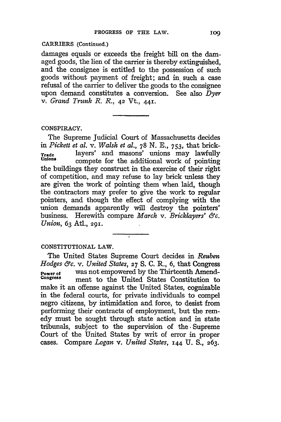## CARRIERS **(Continued.)**

damages equals or exceeds the freight bill on the damaged goods, the lien of the carrier is thereby extinguished, and the consignee is entitled to the possession of such goods without payment of freight; and in such a case refusal of the carrier to deliver the goods to the consignee upon demand constitutes a conversion. See also *Dyer v. Grand Trunk R. R.,* 42 Vt., **441.**

### CONSPIRACY.

The Supreme Judicial Court of Massachusetts decides in *Pickett et al. v. Walsh et al.,* 78 N. **E.,** 753, that brick-**Trade** layers' and masons' unions may lawfully<br>Unions compate for the edditional work of pointing compete for the additional work of pointing the buildings they construct in the exercise of their right of competition, and may refuse to lay brick unless they are given the Work of pointing them when laid, though the contractors may prefer to give the work to regular pointers, and though the effect of complying with the union demands apparently will destroy the pointers' business. Herewith compare *March v. Bricklayers' &c. Union,* **63** Atl., **291.**

## CONSTITUTIONAL LAW.

The United States Supreme Court decides in *Reuben Hodges &c. v. United States,* **27** S. C. R., 6, that Congress **Power of** was not empowered by the Thirteenth Amend-<br>Congress meant to the United States Constitution to **Congess** ment to the United States Constitution to make it an offense against the United States, cognizable in the federal courts, for private individuals to compel negro citizens, **by** intimidation and force, to desist from performing their contracts of employment, but the remedy must be sought through state action and in state tribunals, subject to the supervision of the **.** Supreme Court of the United States **by** writ of error in proper cases. Compare *Logan v. United States,* **144 U. S., 263.**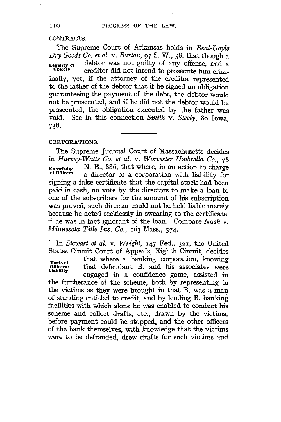## **CONTRACTS.**

The Supreme Court of Arkansas holds in *Beal-Doyle Dry Goods Co. et al.* v. *Barton,* 97 S. W., 58, that though a **Legality of** debtor was not guilty of any offense, and a creditor did not intend to prosecute him criminally, yet, if the attorney of the creditor represented to the father of the debtor that if he signed an obligation guaranteeing the payment of the debt, the debtor would not be prosecuted, and if he did not the debtor would be prosecuted, the obligation executed by the father was void. See in this connection *Smith v. Steely,* 8o Iowa, **738.**

## CORPORATIONS.

The Supreme Judicial Court of Massachusetts decides *in Harvey-Watts Co. et al. v. Worcester Umbrella Co.,* 78 **Knowledge** N. E., 886, that where, in an action to charge **of** *offier* a director of a corporation with liability for signing a false certificate that the capital stock had been paid in cash, no vote by the directors to make a loan to one of the subscribers for the amount of his subscription was proved, such director could not be held liable merely because he acted recklessly in swearing to the certificate, if he was in fact ignorant of the loan. Compare *Nash v. Minnesota Title Ins. Co.,* 163 Mass., 574.

In *Stewart et al. v. Wright,* **147** Fed., 321, the United States Circuit Court of Appeals, Eighth Circuit, decides Torts of that where a banking corporation, knowing<br>Officers: that defendant B. and his associates were Torts of<br>Officers: that defendant B. and his associates were engaged in a confidence game, assisted in the furtherance of the scheme, both by representing to the victims as they were brought in that B. was a man of standing entitled to credit, and by lending B. banking facilities with which alone he was enabled to conduct his scheme and collect drafts, etc., drawn by the victims, before payment could be stopped, and the other officers of the bank themselves, with knowledge that the victims were to be defrauded, drew drafts for such victims and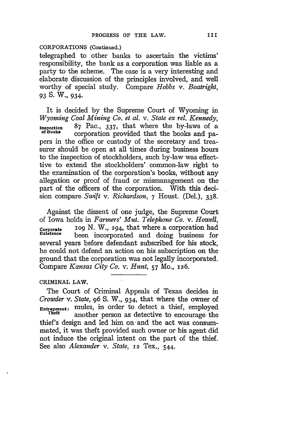## CORPORATIONS (Continued.)

telegraphed to other banks to ascertain the victims' responsibility, the bank as a corporation was liable as a party to the scheme. The case is a very interesting and elaborate discussion of the principles involved, and well worthy of special study. Compare *Hobbs v. Boatright,* **93 S. W., 934.**

It is decided by the Supreme Court of Wyoming in *Wyoming Coal Mining Co. et al. v. State ex rel. Kennedy,* **Inspection** 87 Pac., 337, that where the by-laws of a corporation provided that the books and papers in the office or custody of the secretary and treasurer should be open at all times during business hours to the inspection of stockholders, such by-law was effecttive to extend the stockholders' common-law right to the examination of the corporation's books, without any allegation or proof of fraud or mismanagement on the part of the officers of the corporation. With this decision compare *Swift* v. *Richardson,* 7 Houst. (Del.), 338.

Against the dissent of one judge, the Supreme Court of Iowa holds in *Farmers' Mut. Telephone Co. v. Howell,* **Corporate** Io9 N. W., 294, that where a corporation had<br>Existence been incorporated and deing business for been incorporated and doing business for several years before defendant subscribed for his stock, he could not defend an action on his subscription on the ground that the corporation was not legally incorporated. Compare *Kansas City Co. v. Hunt,* 57 Mo., 126.

### CRIMINAL LAW.

The Court of Criminal Appeals of Texas decides in *Crowder* v. *State,* 96 **S.** W., 934, that where the owner of **Entrapment:** mules, in order to detect a thief, employed **Theft** another person as detective to encourage the thief's design and led him on-and the act was consummated, it was theft provided such owner or his agent did not induce the original intent on the part of the thief. See also *Alexander v. State,* 12 Tex., 544.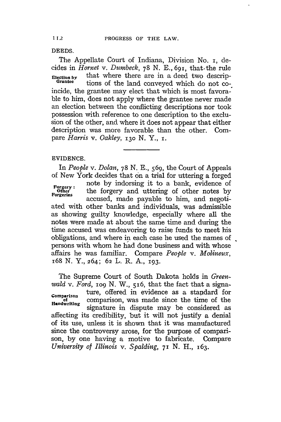**DEEDS.**

The Appellate Court of Indiana, Division No. i, decides in *Hornet v. Dumbeck,* 78 N. **E.,** 691, that.the rule **Election** by that where there are in a deed two descrip- **Grantee** tions of the land conveyed which do not coincide, the grantee may elect that which is most favorable to him, does not apply where the grantee never made an election between the conflicting descriptions nor took possession with reference to one description to the exclusion of the other, and where it does not appear that either description was more favorable than the other. Compare *Harris v. Oakley, 13o* N. Y., **i.**

## **EVIDENCE.**

In *People v. Dolan,* 78 **N.** E., 569, the Court of Appeals of New York decides that on a trial for uttering a forged note by indorsing it to a bank, evidence of **Forgery:** Hotel by macricing is to a bank, evidence of other notes by accused, made payable to him, and negotiated with other banks and individuals, was admissible as showing guilty knowledge, especially where all the notes were made at about the same time and during the time accused was endeavoring to raise funds to meet his obligations, and where in each case he used the names of persons with whom he had done business and with whose affairs he was familiar. Compare *People v. Molineux,* i68 N. Y., 264; **62** L. R. A., 193.

The Supreme Court of South Dakota holds in *Greenwald v. Ford, IO9* N. W., 516, that the fact that a signa-**Comparison** ture, offered in evidence as a standard for **of** comparison, was made since the time of the Handwriting signature in dispute may be considered as affecting its credibility, but it will not justify a denial of its use, unless it is shown that it was manufactured since the controversy arose, for the purpose of comparison, by one having a motive to fabricate. Compare *University of Illinois v. Spalding, 71* N. H., 163.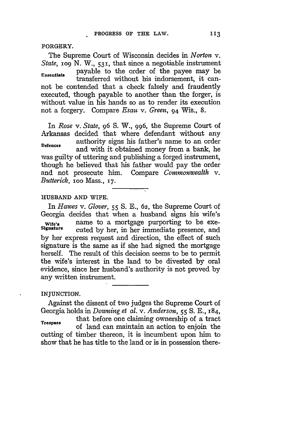FORGERY.

The Supreme Court of Wisconsin decides in *Norton v. State, iog* **N.** W., 531, that since a negotiable instrument **Essentials** payable to the order of the payee may be transferred without his indorsement, it cannot be contended that a check falsely and fraudently executed, though payable to another than the forger, is without value in his hands so as to render its execution not a forgery. Compare *Esau v. Green,* 94 Wis., **8.**

In *Rose v. State,* **96** S. W., 996, the Supreme Court of Arkansas decided that where defendant without any **Defences** authority signs his father's name to an order and with it obtained money from a bank, he was guilty of uttering and publishing a forged instrument, though he believed that his father would pay the order and not prosecute him. Compare *Commonwealth v. Butterick,* ioo Mass., **17.**

### **HUSBAND AND** WIFE.

In *Hawes* v. *Glover,* **55** S. **E., 62,** the Supreme Court of Georgia decides that when a husband signs his wife's Wife's name to a mortgage purporting to be exe-<br>Signature outed by her in her immediate areaenee and cuted by her, in her immediate presence, and by her express request and direction, the effect of such signature is the same as if she had signed the mortgage herself. The result of this decision seems to be to permit the wife's interest in the land to be divested by oral evidence, since her husband's authority is not proved by any written instrument.

INJUNCTION.

Against the dissent of two judges the Supreme Court of Georgia holds in *Downing et al. v. Anderson,* **55** S. E., 184,

that before one claiming ownership of a tract **Trespass** of land can maintain an action to enjoin the cutting of timber thereon, it is incumbent upon him to show that he has title to the land or is in possession there-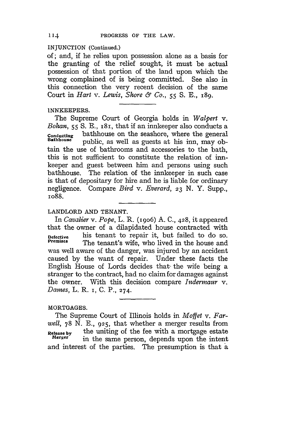#### **INJUNCTION** (Continued.)

of; and, if he relies upon possession alone as a basis for the granting of the relief sought, it must be actual possession of that portion of the land upon which the wrong complained of is being committed. See also in this connection the very recent decision of the same Court in *Hart v. Lewis, Shore & Co.,* 55 **S. E.,** i89.

## **INNKEEPERS.**

The Supreme Court of Georgia holds in *Walpert v. Bohan,* 55 S. E., 181, that if an innkeeper also conducts a **conducting** bathhouse on the seashore, where the general **Bathhouse** public, as well as guests at his inn, may obtain the use of bathrooms and accessories to the bath, this is not sufficient to constitute the relation of innkeeper and guest between him and persons using such bathhouse. The relation of the innkeeper in such case is that of depositary for hire and he is liable for ordinary negligence. Compare *Bird v. Everard, 23* N. Y. Supp., io88.

## LANDLORD **AND TENANT.**

In *Cavalier v. Pope,* L. R. (19o6) **A.** C., 428, it appeared that the owner of a dilapidated house contracted with **Defective** his tenant to repair it, but failed to do so. The tenant's wife, who lived in the house and was well aware of the danger, was injured by an accident caused by the want of repair. Under these facts the English House of Lords decides that- the wife being a stranger to the contract, had no claim for damages against the owner. With this decision compare *Indermaur* v. *Dames,* L. R. i, C. P., 274.

## MORTGAGES.

The Supreme Court of Illinois holds in *Moffet v. Farwell,* 78 N. **E., 925,** that whether a merger results from **Release by** the uniting of the fee with a mortgage estate<br>Merger in the same person depends upon the intent in the same person, depends upon the intent and interest of the parties. The presumption is that a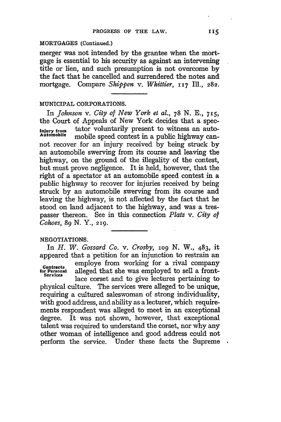#### **MORTGAGES (Continued.)**

merger was not intended **by** the grantee when the mortgage is essential to his security as against an intervening title or lien, and such presumption is not overcome **by** the fact that he cancelled and surrendered the notes and mortgage. Compare *Shippen v. Whittier, 117* Ill., **282.**

## MUNICIPAL **CORPORATIONS.**

In *Johnson v. City of New York et al.,* **78 N.** E., 715, the Court of Appeals of New York decides that a spec-**Injury from** tator voluntarily present to witness an automobile speed contest in a public highway cannot recover for an injury received **by** being struck **by** an automobile swerving from its course and leaving the highway, on the ground of the illegality of the contest, but must prove negligence. It is held, however, that the right of a spectator at an automobile speed contest in a public highway to recover for injuries received **by** being struck **by** an automobile swerving from its course and leaving the highway, is not affected **by** the fact that he stood on land adjacent to the highway, and was a trespasser thereon. See in this connection *Platz* v. *City of Cohoes, 89* N. Y., 219.

#### **NEGOTIATIONS.**

In *H. W. Gossard Co. v. Crosby, 1O9* **N.** W., 483, it appeared that a petition for an injunction to restrain an

**CONTACTS**<br> **CONTACTS**<br> **CONTACTS**<br> **CONTACTS**<br> **CONTACTS**<br> **CONTACTS**<br> **CONTACTS**<br> **CONTACTS**<br> **CONTACTS**<br> **CONTACTS**<br> **CONTACTS**<br> **CONTACTS**<br> **CONTACTS**<br> **CONTACTS** lace corset and to give lectures pertaining to

physical culture. The services were alleged to be unique, requiring a cultured saleswoman of strong individuality, with good address, and ability as a lecturer, which requirements respondent was alleged to meet in an exceptional degree. It was not shown, however, that exceptional talent was required to understand the corset, nor why any other woman of intelligence and good address could not perform the service. Under these facts the Supreme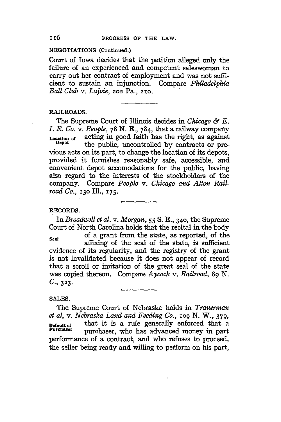## NEGOTIATIONS (Continued.)

Court of Iowa decides that the petition alleged only the failure of an experienced and competent saleswoman to carry out her contract of employment and was not sufficient to sustain an injunction. Compare *Philadelphia Ball Club v. Lajoie,* **202** Pa., **210.**

## RAILROADS.

The Supreme Court of Illinois decides in *Chicago & E. I. R. Co. v. People, 78 N. E., 784, that a railway company* **Location** of acting in good faith has the right, as against the public, uncontrolled by contracts or previous acts on its part, to change the location of its depots, provided it furnishes reasonably safe, accessible, and convenient depot accomodations for the public, having also regard to the interests of the stockholders of the company. Compare *People v. Chicago and Alton Railroad Co.,* **130** Ill., **175.**

## RECORDS.

In *Broadwell et al. v. Morgan,* **55 S. E.,** 34o, the Supreme Court of North Carolina holds that the recital in the body of a grant from the state, as reported, of the **Seal** affixing of the seal of the state, is sufficient evidence of its regularity, and the registry of the grant is not invalidated because it does not appear of record that a scroll or imitation of the great seal of the state was copied thereon. Compare *Aycock v. Railroad, 89* **N.** *C.,* **323.**

## **SALES.**

The Supreme Court of Nebraska holds in *Trauerman et al,* v. *Nebraska Land and Feeding Co., io9* N. *W.,* **379, Default of** that it is a rule generally enforced that a Purchaser who has advanced money in part purchaser, who has advanced money in part performance of a contract, and who refuses to proceed, the seller being ready and willing to peform on his part,

## 116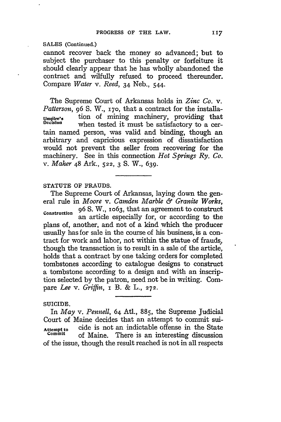## **SALES** (Continued.)

cannot recover back the money so advanced; but to subject the purchaser to this penalty or forfeiture it should clearly appear that he has wholly abandoned the contract and wilfully refused to proceed thereunder. Compare *Water v. Reed,* 34 Neb., 544.

The Supreme Court of Arkansas holds in *Zinc Co. v. Patterson,* 96 **S.** W., **170,** that a contract for the installa-Umpire's tion of mining machinery, providing that<br>Decision when toted it must be optiofentery to a conwhen tested it must be satisfactory to a certain named person, was valid and binding, though an arbitrary and capricious expression of dissatisfaction would not prevent the seller from recovering for the machinery. See in this connection *Hot Springs Ry. Co. v. Maher* 48 Ark., **522,** 3 **S.** W., 639.

## STATUTE OF FRAUDS.

The Supreme Court of Arkansas, laying down the general rule in *Moore v. Camden Marble & Granite Works,* **Construction** 96 **S.** W., io63, that an agreement to construct an article especially for, or according to the plans of, another, and not of a kind which the producer usually has for sale in the course of his business, is a contract for work and labor, not within the statue of frauds, though the transaction is to result in a sale of the article, holds that a contract **by** one taking orders for completed tombstones according to catalogue designs to construct a tombstone according to a design and with an inscription selected by the patron, need not be in writing. Compare *Lee v. Griffin,* i B. & L., **272.**

## SUICIDE.

In *May v. Pennell,* 64 Atl., 885, the Supreme Judicial Court of Maine decides that an attempt to commit sui-**Attempt** to cide is not an indictable offense in the State of Maine. There is an interesting discussion of the issue, though the result reached is not in all respects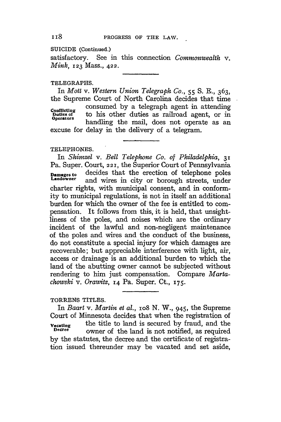SUICIDE **(Continued.)**

satisfactory. See in this connection *Commonwealth v. Mink,* **123** Mass., 422.

## TELEGRAPHS.

In *Mott v. Western Union Telegraph Co.,* 55 **S.** E., 363, the Supreme Court of North Carolina decides that time Conflicting consumed by a telegraph agent in attending<br> **Puties of** to his other duties as railroad agent, or in<br> **Poperators** bondling the mail data and consults of to his other duties as railroad agent, or in handling the mail, does not operate as an excuse for delay in the delivery of a telegram.

## **TELEPHONES.**

In *Shimzel v. Bell Telephone Co. of Philadelphia,* 31 Pa. Super. Court, **221,** the Superior Court of Pennsylvania **Damagesto** decides that the erection of telephone poles and wires in city or borough streets, under charter rights, with municipal consent, and in conformity to municipal regulations, is not in itself an additional burden for which the owner of the fee is entitled to compensation. It follows from this, it is held, that unsightliness of the poles, and noises which are the ordinary incident of the lawful and non-negligent maintenance of the poles and wires and the conduct of the business, do not constitute a special injury for which damages are recoverable; but appreciable interference with light, air, access or drainage is an additional burden to which the land of the abutting owner cannot be subjected without rendering to him just compensation. Compare *Martachowski v. Orawitz,* **i4** Pa. Super. Ct., 175.

#### TORRENS TITLES.

In *Baart* v. *Martin et al.*, 108 N. W., 945, the Supreme Court of Minnesota decides that when the registration of **Vacating** the title to land is secured by fraud, and the percent of the land is not notified as required owner of the land is not notified, as required by the statutes, the decree and the certificate of registration issued thereunder may be vacated and set aside,

**118**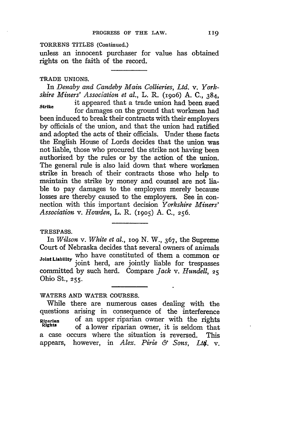#### TORRENS TITLES (Continued.)

unless an innocent purchaser for value has obtained rights on the faith of the record.

#### **TRADE UNIONS.**

In *Denaby and Candeby Main Collieries, Ltd. v. Yorkshire Miners' Association et al.,* L. R. (i9o6) A. C., 384, **,Strike** it appeared that a trade union had been sued

for damages on the ground that workmen had been induced to break their contracts with their employers by officials of the union, and that the union had ratified and adopted the acts of their officials. Under these facts the English House of Lords decides that the union was not liable, those who procured the strike not having been authorized by the rules or by the action of the union. The general rule is also laid down that where workmen strike in breach of their contracts those who help to maintain the strike by money and counsel are not liable to pay damages to the employers merely because losses are thereby caused to the employers. See in connection with this important decision *Yorkshire Miners' Association v. Howden,* L. R. **(1905)** A. C., **256.**

#### **TRESPASS.**

In *Wilson v. White et al.,* **io9** N. W., 367, the Supreme Court of Nebraska decides that several owners of animals Joint Liability who have constituted of them a common or joint liable for trespasses committed **by** such herd. Compare *Jack v. Hundell,* **<sup>25</sup>** Ohio St., **255.**

### WATERS **AND** WATER **COURSES.**

While there are numerous cases dealing with the questions arising in consequence of the interference R1paran of an upper riparian owner with the rights **Rghts** of a lower riparian owner, it is seldom that a case occurs where the situation is reversed. This appears, however, in *Alex.* Pirie *& Sons, Lt\$.* v.